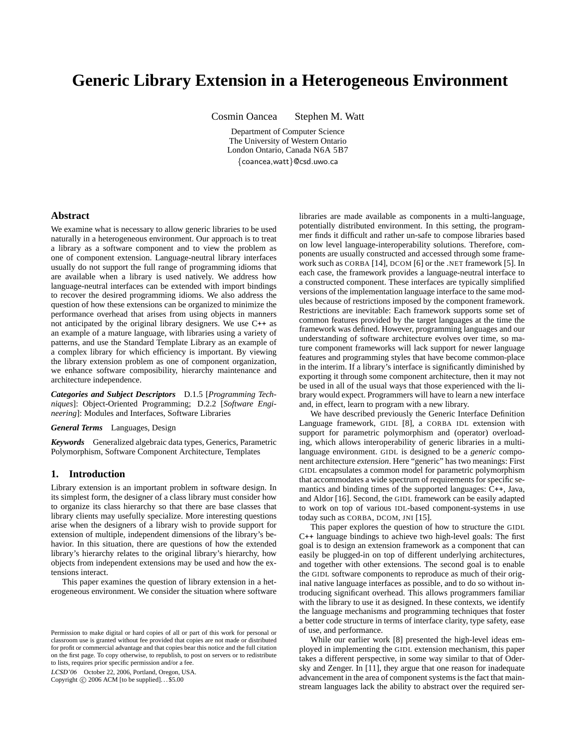# **Generic Library Extension in a Heterogeneous Environment**

Cosmin Oancea Stephen M. Watt

Department of Computer Science The University of Western Ontario London Ontario, Canada N6A 5B7 {coancea,watt}@csd.uwo.ca

# **Abstract**

We examine what is necessary to allow generic libraries to be used naturally in a heterogeneous environment. Our approach is to treat a library as a software component and to view the problem as one of component extension. Language-neutral library interfaces usually do not support the full range of programming idioms that are available when a library is used natively. We address how language-neutral interfaces can be extended with import bindings to recover the desired programming idioms. We also address the question of how these extensions can be organized to minimize the performance overhead that arises from using objects in manners not anticipated by the original library designers. We use C++ as an example of a mature language, with libraries using a variety of patterns, and use the Standard Template Library as an example of a complex library for which efficiency is important. By viewing the library extension problem as one of component organization, we enhance software composibility, hierarchy maintenance and architecture independence.

*Categories and Subject Descriptors* D.1.5 [*Programming Techniques*]: Object-Oriented Programming; D.2.2 [*Software Engineering*]: Modules and Interfaces, Software Libraries

*General Terms* Languages, Design

*Keywords* Generalized algebraic data types, Generics, Parametric Polymorphism, Software Component Architecture, Templates

# **1. Introduction**

Library extension is an important problem in software design. In its simplest form, the designer of a class library must consider how to organize its class hierarchy so that there are base classes that library clients may usefully specialize. More interesting questions arise when the designers of a library wish to provide support for extension of multiple, independent dimensions of the library's behavior. In this situation, there are questions of how the extended library's hierarchy relates to the original library's hierarchy, how objects from independent extensions may be used and how the extensions interact.

This paper examines the question of library extension in a heterogeneous environment. We consider the situation where software

LCSD'06 October 22, 2006, Portland, Oregon, USA. Copyright  $\odot$  2006 ACM [to be supplied]...\$5.00

libraries are made available as components in a multi-language, potentially distributed environment. In this setting, the programmer finds it difficult and rather un-safe to compose libraries based on low level language-interoperability solutions. Therefore, components are usually constructed and accessed through some framework such as CORBA [14], DCOM [6] or the .NET framework [5]. In each case, the framework provides a language-neutral interface to a constructed component. These interfaces are typically simplified versions of the implementation language interface to the same modules because of restrictions imposed by the component framework. Restrictions are inevitable: Each framework supports some set of common features provided by the target languages at the time the framework was defined. However, programming languages and our understanding of software architecture evolves over time, so mature component frameworks will lack support for newer language features and programming styles that have become common-place in the interim. If a library's interface is significantly diminished by exporting it through some component architecture, then it may not be used in all of the usual ways that those experienced with the library would expect. Programmers will have to learn a new interface and, in effect, learn to program with a new library.

We have described previously the Generic Interface Definition Language framework, GIDL [8], a CORBA IDL extension with support for parametric polymorphism and (operator) overloading, which allows interoperability of generic libraries in a multilanguage environment. GIDL is designed to be a *generic* component architecture *extension*. Here "generic" has two meanings: First GIDL encapsulates a common model for parametric polymorphism that accommodates a wide spectrum of requirements for specific semantics and binding times of the supported languages: C++, Java, and Aldor [16]. Second, the GIDL framework can be easily adapted to work on top of various IDL-based component-systems in use today such as CORBA, DCOM, JNI [15].

This paper explores the question of how to structure the GIDL C++ language bindings to achieve two high-level goals: The first goal is to design an extension framework as a component that can easily be plugged-in on top of different underlying architectures, and together with other extensions. The second goal is to enable the GIDL software components to reproduce as much of their original native language interfaces as possible, and to do so without introducing significant overhead. This allows programmers familiar with the library to use it as designed. In these contexts, we identify the language mechanisms and programming techniques that foster a better code structure in terms of interface clarity, type safety, ease of use, and performance.

While our earlier work [8] presented the high-level ideas employed in implementing the GIDL extension mechanism, this paper takes a different perspective, in some way similar to that of Odersky and Zenger. In [11], they argue that one reason for inadequate advancement in the area of component systems is the fact that mainstream languages lack the ability to abstract over the required ser-

Permission to make digital or hard copies of all or part of this work for personal or classroom use is granted without fee provided that copies are not made or distributed for profit or commercial advantage and that copies bear this notice and the full citation on the first page. To copy otherwise, to republish, to post on servers or to redistribute to lists, requires prior specific permission and/or a fee.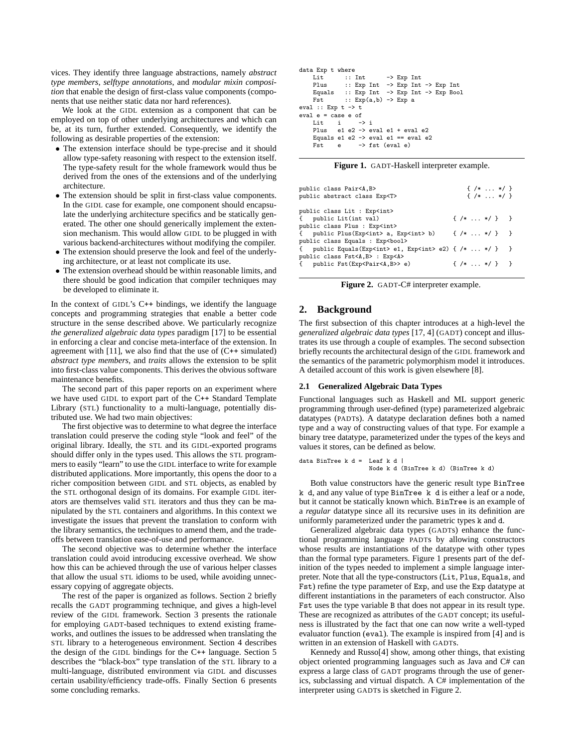vices. They identify three language abstractions, namely *abstract type members*, *selftype annotations*, and *modular mixin composition* that enable the design of first-class value components (components that use neither static data nor hard references).

We look at the GIDL extension as a component that can be employed on top of other underlying architectures and which can be, at its turn, further extended. Consequently, we identify the following as desirable properties of the extension:

- The extension interface should be type-precise and it should allow type-safety reasoning with respect to the extension itself. The type-safety result for the whole framework would thus be derived from the ones of the extensions and of the underlying architecture.
- The extension should be split in first-class value components. In the GIDL case for example, one component should encapsulate the underlying architecture specifics and be statically generated. The other one should generically implement the extension mechanism. This would allow GIDL to be plugged in with various backend-architectures without modifying the compiler.
- The extension should preserve the look and feel of the underlying architecture, or at least not complicate its use.
- The extension overhead should be within reasonable limits, and there should be good indication that compiler techniques may be developed to eliminate it.

In the context of GIDL's C<sup>++</sup> bindings, we identify the language concepts and programming strategies that enable a better code structure in the sense described above. We particularly recognize *the generalized algebraic data types* paradigm [17] to be essential in enforcing a clear and concise meta-interface of the extension. In agreement with  $[11]$ , we also find that the use of  $(C^{++}$  simulated) *abstract type members*, and *traits* allows the extension to be split into first-class value components. This derives the obvious software maintenance benefits.

The second part of this paper reports on an experiment where we have used GIDL to export part of the C++ Standard Template Library (STL) functionality to a multi-language, potentially distributed use. We had two main objectives:

The first objective was to determine to what degree the interface translation could preserve the coding style "look and feel" of the original library. Ideally, the STL and its GIDL-exported programs should differ only in the types used. This allows the STL programmers to easily "learn" to use the GIDL interface to write for example distributed applications. More importantly, this opens the door to a richer composition between GIDL and STL objects, as enabled by the STL orthogonal design of its domains. For example GIDL iterators are themselves valid STL iterators and thus they can be manipulated by the STL containers and algorithms. In this context we investigate the issues that prevent the translation to conform with the library semantics, the techniques to amend them, and the tradeoffs between translation ease-of-use and performance.

The second objective was to determine whether the interface translation could avoid introducing excessive overhead. We show how this can be achieved through the use of various helper classes that allow the usual STL idioms to be used, while avoiding unnecessary copying of aggregate objects.

The rest of the paper is organized as follows. Section 2 briefly recalls the GADT programming technique, and gives a high-level review of the GIDL framework. Section 3 presents the rationale for employing GADT-based techniques to extend existing frameworks, and outlines the issues to be addressed when translating the STL library to a heterogeneous environment. Section 4 describes the design of the GIDL bindings for the C++ language. Section 5 describes the "black-box" type translation of the STL library to a multi-language, distributed environment via GIDL and discusses certain usability/efficiency trade-offs. Finally Section 6 presents some concluding remarks.

```
data Exp t where<br>Lit :: Int
      Lit :: Int -> Exp Int<br>Plus :: Exp Int -> Exp Int
                     \cdot: Exp Int \rightarrow Exp Int \rightarrow Exp Int
      Equals :: Exp Int \rightarrow Exp Int \rightarrow Exp<br>Fst :: Exp(a, b) \rightarrow Exp a\therefore Exp(a,b) \rightarrow Exp a
eval :: Exp t \rightarrow teval e = \text{case } e \text{ of }<br>Lit i \rightarrow iLit i<br>Plus e1
                 e1 e2 \rightarrow eval e1 + eval e2
      Equals e1 e2 \rightarrow eval e1 == eval e2
      Fst e -> fst (eval e)
```

|  | Figure 1. GADT-Haskell interpreter example. |  |  |
|--|---------------------------------------------|--|--|
|--|---------------------------------------------|--|--|

| public class Pair <a,b></a,b>                                                          | $\{ / * \dots * / \}$ |  |
|----------------------------------------------------------------------------------------|-----------------------|--|
| public abstract class Exp <t></t>                                                      | $\{ / *  * / \}$      |  |
| public class Lit : Exp <int></int>                                                     |                       |  |
| { public Lit(int val)                                                                  | $\{ / *  * / }$       |  |
| public class Plus : Exp <int></int>                                                    |                       |  |
| { public Plus(Exp <int> a, Exp<int> b) { <math>/* \ldots */</math> } }</int></int>     |                       |  |
| public class Equals : Exp <bool></bool>                                                |                       |  |
| { public Equals(Exp <int> e1, Exp<int> e2) { <math>/* \ldots */</math> } }</int></int> |                       |  |
| public class Fst <a,b> : Exp<a></a></a,b>                                              |                       |  |
| { public Fst(Exp <pair<a,b>&gt; e)</pair<a,b>                                          | $\{ / *  * / \}$ }    |  |
|                                                                                        |                       |  |

**Figure 2.** GADT-C# interpreter example.

# **2. Background**

The first subsection of this chapter introduces at a high-level the *generalized algebraic data types* [17, 4] (GADT) concept and illustrates its use through a couple of examples. The second subsection briefly recounts the architectural design of the GIDL framework and the semantics of the parametric polymorphism model it introduces. A detailed account of this work is given elsewhere [8].

### **2.1 Generalized Algebraic Data Types**

Functional languages such as Haskell and ML support generic programming through user-defined (type) parameterized algebraic datatypes (PADTs). A datatype declaration defines both a named type and a way of constructing values of that type. For example a binary tree datatype, parameterized under the types of the keys and values it stores, can be defined as below.

```
data BinTree k d = Leaf k d \overline{\phantom{a}}Node k d (BinTree k d) (BinTree k d)
```
Both value constructors have the generic result type BinTree k d, and any value of type BinTree k d is either a leaf or a node, but it cannot be statically known which. BinTree is an example of a *regular* datatype since all its recursive uses in its definition are uniformly parameterized under the parametric types k and d.

Generalized algebraic data types (GADTs) enhance the functional programming language PADTs by allowing constructors whose results are instantiations of the datatype with other types than the formal type parameters. Figure 1 presents part of the definition of the types needed to implement a simple language interpreter. Note that all the type-constructors (Lit, Plus, Equals, and Fst) refine the type parameter of Exp, and use the Exp datatype at different instantiations in the parameters of each constructor. Also Fst uses the type variable B that does not appear in its result type. These are recognized as attributes of the GADT concept; its usefulness is illustrated by the fact that one can now write a well-typed evaluator function (eval). The example is inspired from [4] and is written in an extension of Haskell with GADTs.

Kennedy and Russo[4] show, among other things, that existing object oriented programming languages such as Java and C# can express a large class of GADT programs through the use of generics, subclassing and virtual dispatch. A C# implementation of the interpreter using GADTs is sketched in Figure 2.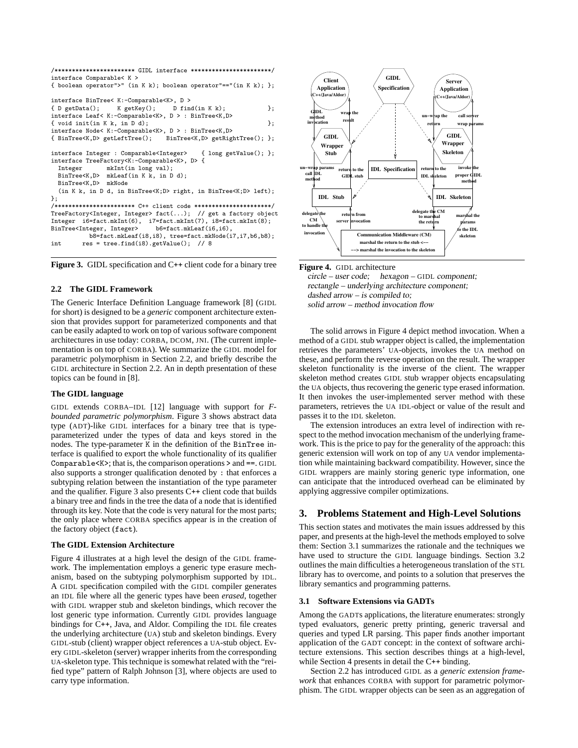```
/*********************** GIDL interface ***********************/
interface Comparable< K >
{ boolean operator">" (in K k); boolean operator"=="(in K k); };
interface BinTree< K:-Comparable<K>, D >
{ D getData(); K getKey(); D find(in K k); };
interface Leaf< K:-Comparable<K>, D > : BinTree<K,D>
\{ \text{void init(in K k, in D d)}; \}interface Node< K:-Comparable<K>, D > : BinTree<K,D><br>{ BinTree<K.D> getLeftTree();     BinTree<K.D> getRightTree();    };
{ BinTree<K,D> getLeftTree();
interface Integer : Comparable<Integer> { long getValue(); };
interface TreeFactory<K:-Comparable<K>, D> {<br>
Integer mkInt(in long val);
                mkInt(in long val);
  BinTree<K,D> mkLeaf(in K k, in D d);
  BinTree<K,D> mkNode
  (in K k, in D d, in BinTree<K;D> right, in BinTree<K;D> left);
\ddot{\ }:
/*********************** C++ client code **********************/
TreeFactory<Integer, Integer> fact(...); // get a factory object
Integer i6=fact.mkInt(6), i7=fact.mkInt(7), i8=fact.mkInt(8);
BinTree<Integer, Integer>
b6=fact.mkLeaf(i6,i6),
           b8=fact.mkLeaf(i8,i8), tree=fact.mkNode(i7,i7,b6,b8);
int res = tree.find(i8).getValue(); // 8
```


## **2.2 The GIDL Framework**

The Generic Interface Definition Language framework [8] (GIDL for short) is designed to be a *generic* component architecture extension that provides support for parameterized components and that can be easily adapted to work on top of various software component architectures in use today: CORBA, DCOM, JNI. (The current implementation is on top of CORBA). We summarize the GIDL model for parametric polymorphism in Section 2.2, and briefly describe the GIDL architecture in Section 2.2. An in depth presentation of these topics can be found in [8].

## **The GIDL language**

GIDL extends CORBA–IDL [12] language with support for *Fbounded parametric polymorphism*. Figure 3 shows abstract data type (ADT)-like GIDL interfaces for a binary tree that is typeparameterized under the types of data and keys stored in the nodes. The type-parameter K in the definition of the BinTree interface is qualified to export the whole functionality of its qualifier Comparable<K>; that is, the comparison operations > and ==. GIDL also supports a stronger qualification denoted by : that enforces a subtyping relation between the instantiation of the type parameter and the qualifier. Figure 3 also presents C++ client code that builds a binary tree and finds in the tree the data of a node that is identified through its key. Note that the code is very natural for the most parts; the only place where CORBA specifics appear is in the creation of the factory object (fact).

#### **The GIDL Extension Architecture**

Figure 4 illustrates at a high level the design of the GIDL framework. The implementation employs a generic type erasure mechanism, based on the subtyping polymorphism supported by IDL. A GIDL specification compiled with the GIDL compiler generates an IDL file where all the generic types have been *erased*, together with GIDL wrapper stub and skeleton bindings, which recover the lost generic type information. Currently GIDL provides language bindings for C++, Java, and Aldor. Compiling the IDL file creates the underlying architecture (UA) stub and skeleton bindings. Every GIDL-stub (client) wrapper object references a UA-stub object. Every GIDL-skeleton (server) wrapper inherits from the corresponding UA-skeleton type. This technique is somewhat related with the "reified type" pattern of Ralph Johnson [3], where objects are used to carry type information.



**Figure 4.** GIDL architecture circle – user code; hexagon – GIDL component; rectangle – underlying architecture component; dashed arrow – is compiled to; solid arrow – method invocation flow

The solid arrows in Figure 4 depict method invocation. When a method of a GIDL stub wrapper object is called, the implementation retrieves the parameters' UA-objects, invokes the UA method on these, and perform the reverse operation on the result. The wrapper skeleton functionality is the inverse of the client. The wrapper skeleton method creates GIDL stub wrapper objects encapsulating the UA objects, thus recovering the generic type erased information. It then invokes the user-implemented server method with these parameters, retrieves the UA IDL-object or value of the result and passes it to the IDL skeleton.

The extension introduces an extra level of indirection with respect to the method invocation mechanism of the underlying framework. This is the price to pay for the generality of the approach: this generic extension will work on top of any UA vendor implementation while maintaining backward compatibility. However, since the GIDL wrappers are mainly storing generic type information, one can anticipate that the introduced overhead can be eliminated by applying aggressive compiler optimizations.

# **3. Problems Statement and High-Level Solutions**

This section states and motivates the main issues addressed by this paper, and presents at the high-level the methods employed to solve them: Section 3.1 summarizes the rationale and the techniques we have used to structure the GIDL language bindings. Section 3.2 outlines the main difficulties a heterogeneous translation of the STL library has to overcome, and points to a solution that preserves the library semantics and programming patterns.

# **3.1 Software Extensions via GADTs**

Among the GADTs applications, the literature enumerates: strongly typed evaluators, generic pretty printing, generic traversal and queries and typed LR parsing. This paper finds another important application of the GADT concept: in the context of software architecture extensions. This section describes things at a high-level, while Section 4 presents in detail the C++ binding.

Section 2.2 has introduced GIDL as a *generic extension framework* that enhances CORBA with support for parametric polymorphism. The GIDL wrapper objects can be seen as an aggregation of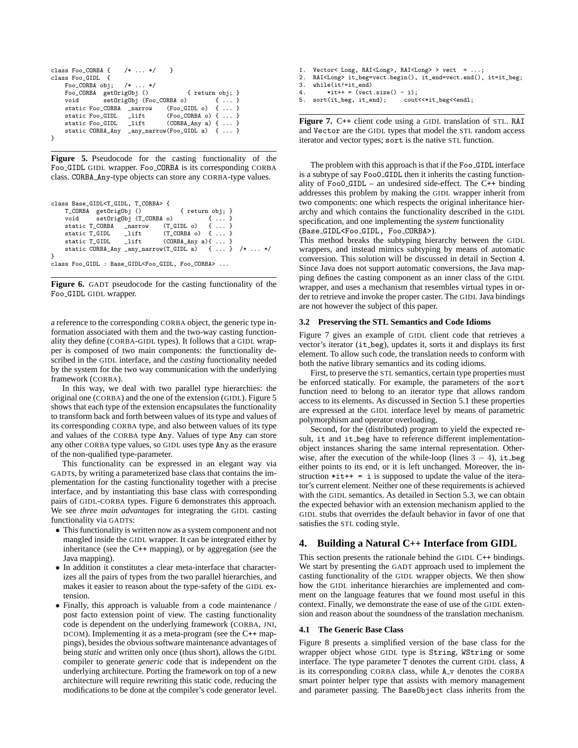```
class Foo_CORBA { /* ... */ }
class Foo_GIDL {
    Foo_CORBA obj; /* ... */
    Foo_CORBA getOrigObj () { return obj; }
    void setOrigObj (Foo_CORBA o) { ... }<br>static Foo_CORBA _narrow (Foo_GIDL o) { ... }
    static Foo_CORBA _narrow (Foo_GIDL o) { ... }<br>static Foo_GIDL _lift (Foo_CORBA o) { ... }
                          \overline{\phantom{a}}lift (Foo_CORBA o) { ... }
    static Foo_GIDL _lift (CORBA_Any a) { ... }
     static CORBA_Any _any_narrow(Foo_GIDL a) { ... }
}
```
**Figure 5.** Pseudocode for the casting functionality of the Foo GIDL GIDL wrapper. Foo CORBA is its corresponding CORBA class. CORBA Any-type objects can store any CORBA-type values.

| class Base_GIDL <t_gidl, t_corba=""> {</t_gidl,>                 |                                                    |
|------------------------------------------------------------------|----------------------------------------------------|
| T_CORBA getOrigObj () { return obj; }                            |                                                    |
| void setOrigObj (T_CORBA o) {  }                                 |                                                    |
| static $T_CORBA$ _narrow $(T_GIDL o)$ {  }                       |                                                    |
| static $T_GIDL$ lift $(T_CORBA o)$ {  }                          |                                                    |
| static $T_GIDL$ _lift (CORBA_Any a){  }                          |                                                    |
|                                                                  | static CORBA_Any _any_narrow(T_GIDL a) {  } /*  */ |
|                                                                  |                                                    |
| class Foo_GIDL : Base_GIDL <foo_gidl, foo_corba=""> </foo_gidl,> |                                                    |

**Figure 6.** GADT pseudocode for the casting functionality of the Foo GIDL GIDL wrapper.

a reference to the corresponding CORBA object, the generic type information associated with them and the two-way casting functionality they define (CORBA-GIDL types). It follows that a GIDL wrapper is composed of two main components: the functionality described in the GIDL interface, and the *casting* functionality needed by the system for the two way communication with the underlying framework (CORBA).

In this way, we deal with two parallel type hierarchies: the original one (CORBA) and the one of the extension (GIDL). Figure 5 shows that each type of the extension encapsulates the functionality to transform back and forth between values of its type and values of its corresponding CORBA type, and also between values of its type and values of the CORBA type Any. Values of type Any can store any other CORBA type values, so GIDL uses type Any as the erasure of the non-qualified type-parameter.

This functionality can be expressed in an elegant way via GADTs, by writing a parameterized base class that contains the implementation for the casting functionality together with a precise interface, and by instantiating this base class with corresponding pairs of GIDL-CORBA types. Figure 6 demonstrates this approach. We see *three main advantages* for integrating the GIDL casting functionality via GADTs:

- This functionality is written now as a system component and not mangled inside the GIDL wrapper. It can be integrated either by inheritance (see the C++ mapping), or by aggregation (see the Java mapping).
- In addition it constitutes a clear meta-interface that characterizes all the pairs of types from the two parallel hierarchies, and makes it easier to reason about the type-safety of the GIDL extension.
- Finally, this approach is valuable from a code maintenance / post facto extension point of view. The casting functionality code is dependent on the underlying framework (CORBA, JNI, DCOM). Implementing it as a meta-program (see the C++ mappings), besides the obvious software maintenance advantages of being *static* and written only once (thus short), allows the GIDL compiler to generate *generic* code that is independent on the underlying architecture. Porting the framework on top of a new architecture will require rewriting this static code, reducing the modifications to be done at the compiler's code generator level.
- 1. Vector< Long, RAI<Long>, RAI<Long> > vect = ...;<br>2. RAI<Long> it beg=vect.begin(), it end=vect.end(). 2. RAI<Long> it\_beg=vect.begin(), it\_end=vect.end(), it=it\_beg;<br>3. while(it!=it end)  $while(it!=it\_end)$
- 4.  $\ast$ it++ = (vect.size() i);<br>5. sort(it\_beg, it\_end); cout<<\*it\_beg<<endl; sort(it\_beg, it\_end);

**Figure 7.** C++ client code using a GIDL translation of STL. RAI and Vector are the GIDL types that model the STL random access iterator and vector types; sort is the native STL function.

The problem with this approach is that if the Foo GIDL interface is a subtype of say Foo0 GIDL then it inherits the casting functionality of Foo0\_GIDL – an undesired side-effect. The  $C++$  binding addresses this problem by making the GIDL wrapper inherit from two components: one which respects the original inheritance hierarchy and which contains the functionality described in the GIDL specification, and one implementing the *system* functionality (Base GIDL<Foo GIDL, Foo CORBA>).

This method breaks the subtyping hierarchy between the GIDL wrappers, and instead mimics subtyping by means of automatic conversion. This solution will be discussed in detail in Section 4. Since Java does not support automatic conversions, the Java mapping defines the casting component as an inner class of the GIDL wrapper, and uses a mechanism that resembles virtual types in order to retrieve and invoke the proper caster. The GIDL Java bindings are not however the subject of this paper.

# **3.2 Preserving the STL Semantics and Code Idioms**

Figure 7 gives an example of GIDL client code that retrieves a vector's iterator (it beg), updates it, sorts it and displays its first element. To allow such code, the translation needs to conform with both the native library semantics and its coding idioms.

First, to preserve the STL semantics, certain type properties must be enforced statically. For example, the parameters of the sort function need to belong to an iterator type that allows random access to its elements. As discussed in Section 5.1 these properties are expressed at the GIDL interface level by means of parametric polymorphism and operator overloading.

Second, for the (distributed) program to yield the expected result, it and it beg have to reference different implementationobject instances sharing the same internal representation. Otherwise, after the execution of the while-loop (lines  $3 - 4$ ), it beg either points to its end, or it is left unchanged. Moreover, the instruction  $*$ it + = i is supposed to update the value of the iterator's current element. Neither one of these requirements is achieved with the GIDL semantics. As detailed in Section 5.3, we can obtain the expected behavior with an extension mechanism applied to the GIDL stubs that overrides the default behavior in favor of one that satisfies the STL coding style.

# **4. Building a Natural C**++ **Interface from GIDL**

This section presents the rationale behind the GIDL C++ bindings. We start by presenting the GADT approach used to implement the casting functionality of the GIDL wrapper objects. We then show how the GIDL inheritance hierarchies are implemented and comment on the language features that we found most useful in this context. Finally, we demonstrate the ease of use of the GIDL extension and reason about the soundness of the translation mechanism.

#### **4.1 The Generic Base Class**

Figure 8 presents a simplified version of the base class for the wrapper object whose GIDL type is String, WString or some interface. The type parameter T denotes the current GIDL class, A is its corresponding CORBA class, while A<sub>-V</sub> denotes the CORBA smart pointer helper type that assists with memory management and parameter passing. The BaseObject class inherits from the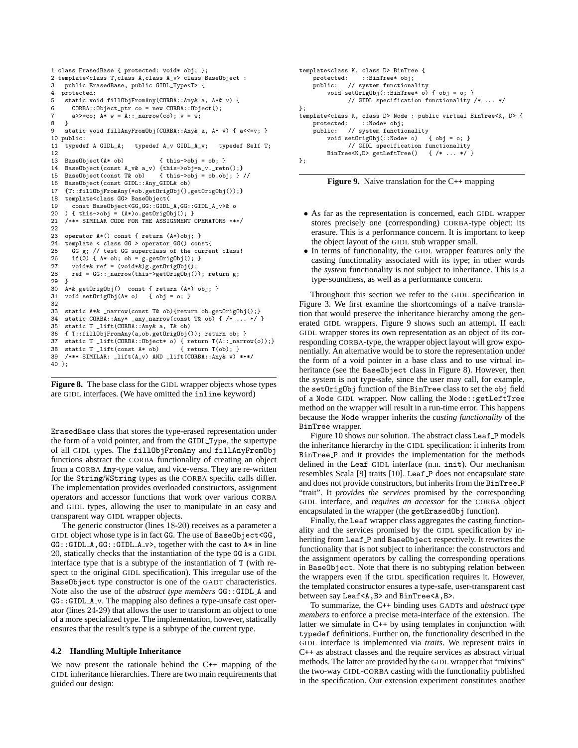```
1 class ErasedBase { protected: void* obj; };
2 template<class T,class A,class A_v> class BaseObject :
3 public ErasedBase, public GIDL_Type<T> {
   protected:
5 static void fillObjFromAny(CORBA::Any& a, A*& v) {
6 CORBA::Object_ptr co = new CORBA::Object();
7 a>>=co; A* w = A::_{\text{narrow}}(co); v = w;8 }
     static void fillAnyFromObj(CORBA::Any& a, A* v) { a\leq v: }
10 public:
11 typedef A GIDL_A; typedef A_v GIDL_A_v; typedef Self T;
12
13 BaseObject(A* ob) { this->obj = ob; }
14 BaseObject(const A_v& a_v) {this->obj=a_v._retn();}<br>15 BaseObject(const T& ob) {this->obj = ob.obj; }
                                       \{ this \rightarrow obj = ob.obj; \} //
16 BaseObject(const GIDL::Any_GIDL& ob)<br>17 {T:illObiEromAny(*ob getOrigObi()
     17 {T::fillObjFromAny(*ob.getOrigObj(),getOrigObj());}
18 template<class GG> BaseObject(
19 const BaseObject<GG,GG::GIDL_A,GG::GIDL_A_v>& o<br>20 ) { this->obi = (A*) o getOrigObi() · }
    20 ) { this->obj = (A*)o.getOrigObj(); }
21 /*** SIMILAR CODE FOR THE ASSIGNMENT OPERATORS ***/
\frac{22}{23}operator A*() const { return (A*)obj; }
24 template < class GG > operator GG() const{
25 GG g; // test GG superclass of the current class!
26 if(0) { A* ob; ob = g.getOrigObj(); }
27 void*& ref = (void*&)g.getOrigObj();<br>28 ref = GC: narrow(this->getOrigObj();
       ref = GG::_{\texttt{narrow}(this-\texttt{ydata})}(b); return g;
29 }<br>30 A
30 A*& getOrigObj() const { return (A*) obj; }<br>31 void setOrigObj(A* o) { obj = o: }
     void setOrigObj(A * 0) { obj = o; }
32
     static A*& _narrow(const T& ob){return ob.getOrigObj();}
34 static CORBA::Any* _any_narrow(const T& ob) { /* \ldots */ }<br>35 static T lift(CORBA::Any& a. T& ob)
35 static T _lift(CORBA::Any & a, T & ob)<br>36 { T : fillObiFrom Any (a ob get OrigObi(
36 { T::fillObjFromAny(a,ob.getOrigObj()); return ob; }<br>37 static T lift(CORRA::Object* o) { return T(A:: narr
     static T _lift(CORBA::Object* o) { return T(A::_narrow(o));}<br>static T _lift(const A* ob) { return T(ob); }
38 static T _llift(const A* ob)<br>39 /*** SIMILAR: lift(A v) AND
    39 /*** SIMILAR: _lift(A_v) AND _lift(CORBA::Any& v) ***/
40 };
```


ErasedBase class that stores the type-erased representation under the form of a void pointer, and from the GIDL Type, the supertype of all GIDL types. The fillObjFromAny and fillAnyFromObj functions abstract the CORBA functionality of creating an object from a CORBA Any-type value, and vice-versa. They are re-written for the String/WString types as the CORBA specific calls differ. The implementation provides overloaded constructors, assignment operators and accessor functions that work over various CORBA and GIDL types, allowing the user to manipulate in an easy and transparent way GIDL wrapper objects.

The generic constructor (lines 18-20) receives as a parameter a GIDL object whose type is in fact GG. The use of BaseObject<GG, GG::GIDL\_A,GG::GIDL\_A\_v>, together with the cast to A\* in line 20, statically checks that the instantiation of the type GG is a GIDL interface type that is a subtype of the instantiation of T (with respect to the original GIDL specification). This irregular use of the BaseObject type constructor is one of the GADT characteristics. Note also the use of the *abstract type members* GG::GIDL A and GG::GIDL A v. The mapping also defines a type-unsafe cast operator (lines 24-29) that allows the user to transform an object to one of a more specialized type. The implementation, however, statically ensures that the result's type is a subtype of the current type.

## **4.2 Handling Multiple Inheritance**

We now present the rationale behind the C++ mapping of the GIDL inheritance hierarchies. There are two main requirements that guided our design:

```
template<class K, class D> BinTree {
    protected: ::BinTree* obj;
     public: // system functionality
          void setOrigObj(::BinTree* o) { obj = o; }
                 // GIDL specification functionality /* ... */
};
template<class K, class D> Node : public virtual BinTree<K, D> {<br>protected: ::Node* obj;
                      protected: ::Node* obj;
     public: // system functionality<br>void setOrigObi(::Node* o) { obi = o: }
          void setOrigObj(::Node* o)
                 // GIDL specification functionality<br>ee \times K, D> getLeftTree() { /* ... * /BinTree<K,D> getLeftTree()
};
```


- As far as the representation is concerned, each GIDL wrapper stores precisely one (corresponding) CORBA-type object: its erasure. This is a performance concern. It is important to keep the object layout of the GIDL stub wrapper small.
- In terms of functionality, the GIDL wrapper features only the casting functionality associated with its type; in other words the *system* functionality is not subject to inheritance. This is a type-soundness, as well as a performance concern.

Throughout this section we refer to the GIDL specification in Figure 3. We first examine the shortcomings of a naïve translation that would preserve the inheritance hierarchy among the generated GIDL wrappers. Figure 9 shows such an attempt. If each GIDL wrapper stores its own representation as an object of its corresponding CORBA-type, the wrapper object layout will grow exponentially. An alternative would be to store the representation under the form of a void pointer in a base class and to use virtual inheritance (see the BaseObject class in Figure 8). However, then the system is not type-safe, since the user may call, for example, the setOrigObj function of the BinTree class to set the obj field of a Node GIDL wrapper. Now calling the Node::getLeftTree method on the wrapper will result in a run-time error. This happens because the Node wrapper inherits the *casting functionality* of the BinTree wrapper.

Figure 10 shows our solution. The abstract class Leaf P models the inheritance hierarchy in the GIDL specification: it inherits from BinTree P and it provides the implementation for the methods defined in the Leaf GIDL interface (n.n. init). Our mechanism resembles Scala [9] traits [10]. Leaf P does not encapsulate state and does not provide constructors, but inherits from the BinTree P "trait". It *provides the services* promised by the corresponding GIDL interface, and *requires an accessor* for the CORBA object encapsulated in the wrapper (the getErasedObj function).

Finally, the Leaf wrapper class aggregates the casting functionality and the services promised by the GIDL specification by inheriting from Leaf P and BaseObject respectively. It rewrites the functionality that is not subject to inheritance: the constructors and the assignment operators by calling the corresponding operations in BaseObject. Note that there is no subtyping relation between the wrappers even if the GIDL specification requires it. However, the templated constructor ensures a type-safe, user-transparent cast between say Leaf<A,B> and BinTree<A,B>.

To summarize, the C++ binding uses GADT*s* and *abstract type members* to enforce a precise meta-interface of the extension. The latter we simulate in  $\bar{C}$ ++ by using templates in conjunction with typedef definitions. Further on, the functionality described in the GIDL interface is implemented via *traits*. We represent traits in C++ as abstract classes and the require services as abstract virtual methods. The latter are provided by the GIDL wrapper that "mixins" the two-way GIDL-CORBA casting with the functionality published in the specification. Our extension experiment constitutes another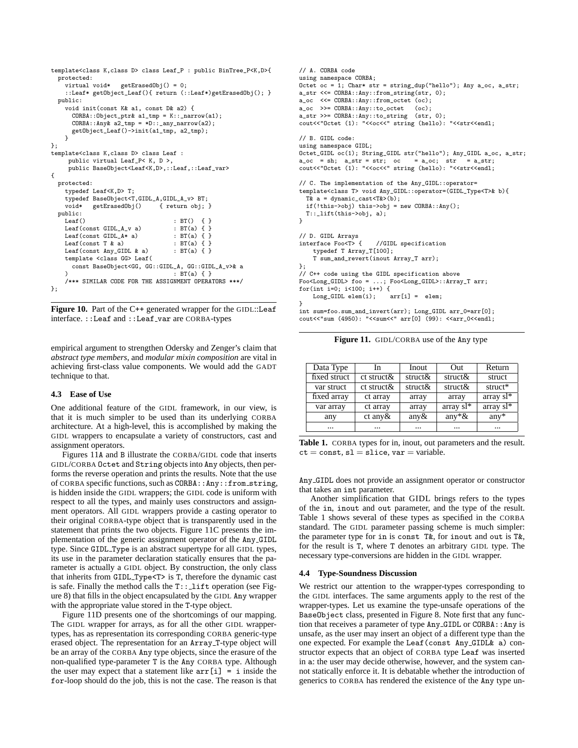```
template<class K,class D> class Leaf_P : public BinTree_P<K,D>{
  protected:
      virtual void* getErasedObj() = 0;
      ::Leaf* getObject_Leaf(){ return (::Leaf*)getErasedObj(); }
   public:
      void init(const K& a1, const D& a2) {
         CORBA::Object_ptr& a1_tmp = K::_narrow(a1);
CORBA::Any& a2_tmp = *D::_any_narrow(a2);
         getObject_Leaf()->init(a1_tmp, a2_tmp);
     }
};
template<class K,class D> class Leaf :
       public virtual Leaf_P< K, D >,
       public BaseObject<Leaf<K,D>,::Leaf,::Leaf_var>
{
   protected:
      typedef Leaf<K,D> T;
      typedef BaseObject<T,GIDL_A,GIDL_A_v> BT;<br>void* getErasedObj() { return obj; }
      void* getErasedObj()
   public:
     \begin{tabular}{lllllll} \texttt{Leaf(} & & & \texttt{BTC(} & & \texttt{BTC(} & & \texttt{BTC(} & & \texttt{A.} & \texttt{B.} & \texttt{B.} & \texttt{B.} & \texttt{B.} & \texttt{B.} & \texttt{B.} & \texttt{B.} & \texttt{B.} & \texttt{B.} & \texttt{B.} & \texttt{B.} & \texttt{B.} & \texttt{B.} & \texttt{B.} & \texttt{B.} & \texttt{B.} & \texttt{B.} & \texttt{B.} & \texttt{B.} & \texttt{B.} & \Leaf(const GIDL_A_v a) : BT(a) { }<br>Leaf(const GIDL_A* a) : BT(a) { }
     Leaf(const GIDL_A* a) : BT(a) { }<br>Leaf(const T & a) : BT(a) { }
     Leaf(const T k a)
      Leaf(const Any_GIDL & a) : BT(a) \{ \}template <class GG> Leaf(
         const BaseObject<GG, GG::GIDL_A, GG::GIDL_A_v>& a
     ) \qquad \qquad : BT(a) { }/*** SIMILAR CODE FOR THE ASSIGNMENT OPERATORS ***/
};
```
**Figure 10.** Part of the C++ generated wrapper for the GIDL::Leaf interface. ::Leaf and ::Leaf\_var are CORBA-types

empirical argument to strengthen Odersky and Zenger's claim that *abstract type members*, and *modular mixin composition* are vital in achieving first-class value components. We would add the GADT technique to that.

# **4.3 Ease of Use**

One additional feature of the GIDL framework, in our view, is that it is much simpler to be used than its underlying CORBA architecture. At a high-level, this is accomplished by making the GIDL wrappers to encapsulate a variety of constructors, cast and assignment operators.

Figures 11A and B illustrate the CORBA/GIDL code that inserts GIDL/CORBA Octet and String objects into Any objects, then performs the reverse operation and prints the results. Note that the use of CORBA specific functions, such as CORBA::Any::from string, is hidden inside the GIDL wrappers; the GIDL code is uniform with respect to all the types, and mainly uses constructors and assignment operators. All GIDL wrappers provide a casting operator to their original CORBA-type object that is transparently used in the statement that prints the two objects. Figure 11C presents the implementation of the generic assignment operator of the Any GIDL type. Since GIDL Type is an abstract supertype for all GIDL types, its use in the parameter declaration statically ensures that the parameter is actually a GIDL object. By construction, the only class that inherits from GIDL Type<T> is T, therefore the dynamic cast is safe. Finally the method calls the  $T: :$  lift operation (see Figure 8) that fills in the object encapsulated by the GIDL Any wrapper with the appropriate value stored in the T-type object.

Figure 11D presents one of the shortcomings of our mapping. The GIDL wrapper for arrays, as for all the other GIDL wrappertypes, has as representation its corresponding CORBA generic-type erased object. The representation for an Array T-type object will be an array of the CORBA Any type objects, since the erasure of the non-qualified type-parameter T is the Any CORBA type. Although the user may expect that a statement like  $arr[i] = i$  inside the for-loop should do the job, this is not the case. The reason is that

```
// A. CORBA code
using namespace CORBA;
Octet oc = 1; Char* str = string_dup("hello"); Any a_oc, a_str;
a_str <<= CORBA::Any::from_string(str, 0);
a_oc <<= CORBA::Any::from_octet (oc);
a_oc >>= CORBA::Any::to_octet (oc);
a_str >>= CORBA::Any::to_string (str, 0);
cout<<"Octet (1): "<<oc<<" string (hello): "<<str<<endl;
// B. GIDL code:
using namespace GIDL;
Octet_GIDL oc(1); String_GIDL str("hello"); Any_GIDL a_oc, a_str;
a\_oc = sh; a\_str = str; oc = a\_oc; str = a\_str;
cout<<"Octet (1): "<<oc<<" string (hello): "<<str<<endl;
// C. The implementation of the Any_GIDL::operator=
template<class T> void Any_GIDL::operator=(GIDL_Type<T>& b){
  T& a = dynamic\_cast < T&gt; (b);
  if(!this->obj) this->obj = new CORBA::Any();
  T::_lift(this->obj, a);
}
// D. GIDL Arrays
                      //GIDL specification
    typedef T Array_T[100];
    T sum_and_revert(inout Array_T arr);
};
// C++ code using the GIDL specification above
Foo<Long_GIDL> foo = ...; Foo<Long_GIDL>::Array_T arr;
for(int i=0; i<100; i++) {<br>
Long\_GIDL elem(i); arr[i] = elem;Long\_GIDL elem(i);
}
int sum=foo.sum_and_invert(arr); Long_GIDL arr_0=arr[0];
cout<<"sum (4950): "<<sum<<" arr[0] (99): <<arr_0<<endl;
```
**Figure 11.** GIDL/CORBA use of the Any type

| Data Type    | In               | Inout       | Out         | Return       |
|--------------|------------------|-------------|-------------|--------------|
| fixed struct | $ct$ struct $\&$ | struct $\&$ | struct $\&$ | struct       |
| var struct   | $ct$ struct &    | struct $\&$ | struct $\&$ | struct*      |
| fixed array  | ct array         | array       | array       | array $sl^*$ |
| var array    | ct array         | array       | array $sl*$ | array $sl*$  |
| any          | $ct$ any $\&$    | any $\&$    | any* $\&$   | $any*$       |
| $\cdots$     | $\cdots$         | $\cdots$    | $\cdots$    | $\cdots$     |

**Table 1.** CORBA types for in, inout, out parameters and the result.  $ct = const$ ,  $sl = slice$ ,  $var = variable$ .

Any GIDL does not provide an assignment operator or constructor that takes an int parameter.

Another simplification that GIDL brings refers to the types of the in, inout and out parameter, and the type of the result. Table 1 shows several of these types as specified in the CORBA standard. The GIDL parameter passing scheme is much simpler: the parameter type for in is const T&, for inout and out is T&, for the result is T, where T denotes an arbitrary GIDL type. The necessary type-conversions are hidden in the GIDL wrapper.

# **4.4 Type-Soundness Discussion**

We restrict our attention to the wrapper-types corresponding to the GIDL interfaces. The same arguments apply to the rest of the wrapper-types. Let us examine the type-unsafe operations of the BaseObject class, presented in Figure 8. Note first that any function that receives a parameter of type Any GIDL or CORBA::Any is unsafe, as the user may insert an object of a different type than the one expected. For example the Leaf(const Any GIDL& a) constructor expects that an object of CORBA type Leaf was inserted in a: the user may decide otherwise, however, and the system cannot statically enforce it. It is debatable whether the introduction of generics to CORBA has rendered the existence of the Any type un-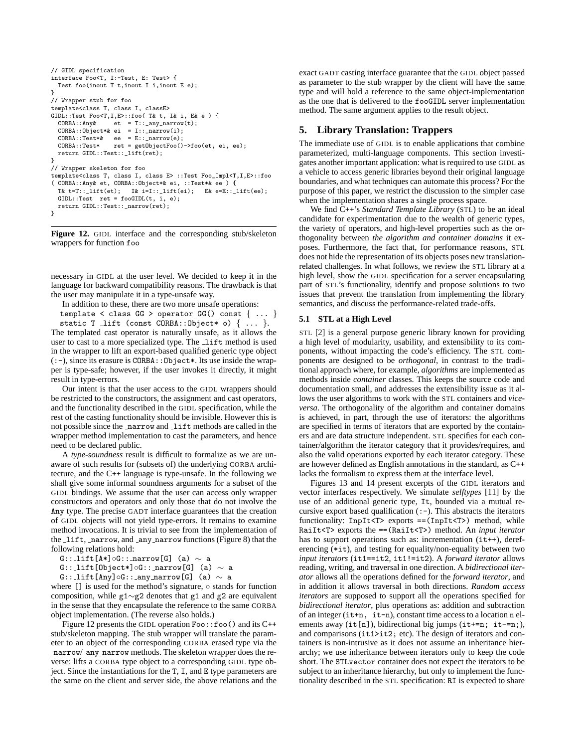```
// GIDL specification
interface Foo<T, I:-Test, E: Test> {
 Test foo(inout T t,inout I i,inout E e);
}
// Wrapper stub for foo
template<class T, class I, classE>
GIDL::Test Foo<T,I,E>::foo( T& t, I& i, E& e ) {
  CORBA::Any& et = T::_any_narrow(t);
CORBA::Object*& ei = I::_narrow(i);
  CORBA::Test*& \text{ee} = E::\_narrow(e);CORBA::Test* ret = getObjectFoo()->foo(et, ei, ee);
  return GIDL::Test::_lift(ret);
}
// Wrapper skeleton for foo
template<class T, class I, class E> ::Test Foo_Impl<T,I,E>::foo
( CORBA::Any& et, CORBA::Object*& ei, ::Test*& ee ) {
  T& t=T::\_lift(et); I& i=I::\_lift(ei); E& e=E::\_lift(ee);GIDL::Test ret = fooGIDL(t, i, e);
  return GIDL::Test::_narrow(ret);
}
```
**Figure 12.** GIDL interface and the corresponding stub/skeleton wrappers for function foo

necessary in GIDL at the user level. We decided to keep it in the language for backward compatibility reasons. The drawback is that the user may manipulate it in a type-unsafe way.

In addition to these, there are two more unsafe operations:

template < class  $GG$  > operator  $GG()$  const  $\{ \ldots \}$ static T lift (const CORBA:: Object\* o)  $\{ \ldots \}$ . The templated cast operator is naturally unsafe, as it allows the user to cast to a more specialized type. The lift method is used in the wrapper to lift an export-based qualified generic type object (:-), since its erasure is CORBA::Object\*. Its use inside the wrapper is type-safe; however, if the user invokes it directly, it might result in type-errors.

Our intent is that the user access to the GIDL wrappers should be restricted to the constructors, the assignment and cast operators, and the functionality described in the GIDL specification, while the rest of the casting functionality should be invisible. However this is not possible since the \_narrow and \_lift methods are called in the wrapper method implementation to cast the parameters, and hence need to be declared public.

A *type-soundness* result is difficult to formalize as we are unaware of such results for (subsets of) the underlying CORBA architecture, and the C++ language is type-unsafe. In the following we shall give some informal soundness arguments for a subset of the GIDL bindings. We assume that the user can access only wrapper constructors and operators and only those that do not involve the Any type. The precise GADT interface guarantees that the creation of GIDL objects will not yield type-errors. It remains to examine method invocations. It is trivial to see from the implementation of the lift, narrow, and any narrow functions (Figure 8) that the following relations hold:

G:: lift[A\*]◦G:: narrow[G] (a)  $\sim$  a

G:: lift[Object\*]◦G:: narrow[G] (a)  $\sim$  a

G:: Lift[Any]◦G:: any narrow[G] (a)  $\sim$  a

where [] is used for the method's signature, ∘ stands for function composition, while g1∼g2 denotes that g1 and g2 are equivalent in the sense that they encapsulate the reference to the same CORBA object implementation. (The reverse also holds.)

Figure 12 presents the GIDL operation Foo::foo() and its C++ stub/skeleton mapping. The stub wrapper will translate the parameter to an object of the corresponding CORBA erased type via the narrow/ any narrow methods. The skeleton wrapper does the reverse: lifts a CORBA type object to a corresponding GIDL type object. Since the instantiations for the T, I, and E type parameters are the same on the client and server side, the above relations and the exact GADT casting interface guarantee that the GIDL object passed as parameter to the stub wrapper by the client will have the same type and will hold a reference to the same object-implementation as the one that is delivered to the fooGIDL server implementation method. The same argument applies to the result object.

# **5. Library Translation: Trappers**

The immediate use of GIDL is to enable applications that combine parameterized, multi-language components. This section investigates another important application: what is required to use GIDL as a vehicle to access generic libraries beyond their original language boundaries, and what techniques can automate this process? For the purpose of this paper, we restrict the discussion to the simpler case when the implementation shares a single process space.

We find C++'s *Standard Template Library* (STL) to be an ideal candidate for experimentation due to the wealth of generic types, the variety of operators, and high-level properties such as the orthogonality between *the algorithm and container domains* it exposes. Furthermore, the fact that, for performance reasons, STL does not hide the representation of its objects poses new translationrelated challenges. In what follows, we review the STL library at a high level, show the GIDL specification for a server encapsulating part of STL's functionality, identify and propose solutions to two issues that prevent the translation from implementing the library semantics, and discuss the performance-related trade-offs.

#### **5.1 STL at a High Level**

STL [2] is a general purpose generic library known for providing a high level of modularity, usability, and extensibility to its components, without impacting the code's efficiency. The STL components are designed to be *orthogonal*, in contrast to the traditional approach where, for example, *algorithms* are implemented as methods inside *container* classes. This keeps the source code and documentation small, and addresses the extensibility issue as it allows the user algorithms to work with the STL containers and *viceversa*. The orthogonality of the algorithm and container domains is achieved, in part, through the use of iterators: the algorithms are specified in terms of iterators that are exported by the containers and are data structure independent. STL specifies for each container/algorithm the iterator category that it provides/requires, and also the valid operations exported by each iterator category. These are however defined as English annotations in the standard, as C++ lacks the formalism to express them at the interface level.

Figures 13 and 14 present excerpts of the GIDL iterators and vector interfaces respectively. We simulate *selftypes* [11] by the use of an additional generic type, It, bounded via a mutual recursive export based qualification  $(-)$ . This abstracts the iterators functionality: InpIt<T> exports ==(InpIt<T>) method, while RaiIt<T> exports the ==(RaiIt<T>) method. An *input iterator* has to support operations such as: incrementation (it++), dereferencing (\*it), and testing for equality/non-equality between two *input iterators* (it1==it2, it1!=it2). A *forward iterator* allows reading, writing, and traversal in one direction. A *bidirectional iterator* allows all the operations defined for the *forward iterator*, and in addition it allows traversal in both directions. *Random access iterators* are supposed to support all the operations specified for *bidirectional iterator*, plus operations as: addition and subtraction of an integer  $(it+n, it-n)$ , constant time access to a location n elements away (it[n]), bidirectional big jumps (it+=n; it-=n;), and comparisons (it1>it2; etc). The design of iterators and containers is non-intrusive as it does not assume an inheritance hierarchy; we use inheritance between iterators only to keep the code short. The STLvector container does not expect the iterators to be subject to an inheritance hierarchy, but only to implement the functionality described in the STL specification: RI is expected to share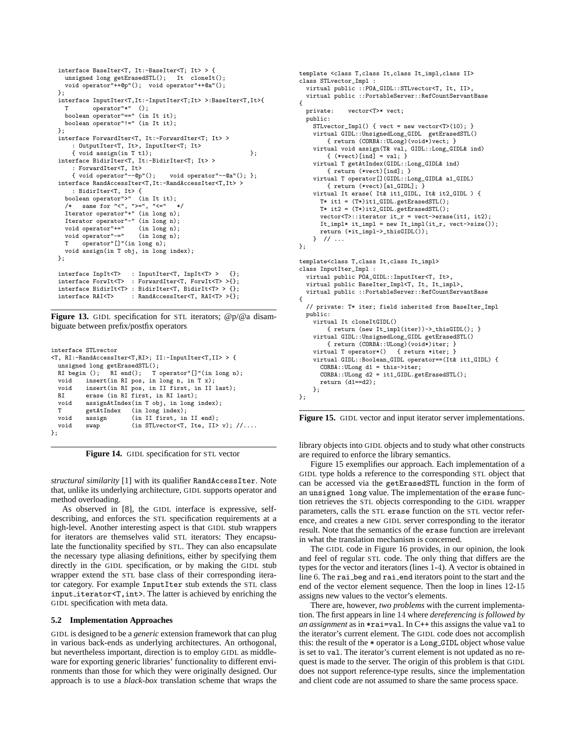```
interface BaseIter<T, It:-BaseIter<T; It> > {
  unsigned long getErasedSTL(); It cloneIt();
  void operator"++@p"(); void operator"++@a"();
};
interface InputIter<T,It:-InputIter<T;It> >:BaseIter<T,It>{
  T operator"*" ();
boolean operator"==" (in It it);
  boolean operator"!=" (in It it);
\lambda:
interface ForwardIter<T, It:-ForwardIter<T; It> >
    : OutputIter<T, It>, InputIter<T; It>
    \{ void assign(in T t1); \};
interface BidirIter<T, It:-BidirIter<T; It> >
    : ForwardIter<T, It>
    { void operator"--@p"(); void operator"--@a"(); };
interface RandAccessIter<T,It:-RandAccessIter<T,It> >
    : BidirIter<T, It> {
  boolean operator">" (in It it);
  /* same for "<", ">=", "<=" */
Iterator operator"+" (in long n);
  Iterator operator"-" (in long n);
  void operator"+=" (in long n);<br>void operator"-=" (in long n);
  void operator"-="<br>T operator"[]"
      operator"[]"(in long n);
  void assign(in T obj, in long index);
};
interface InpIt<T> : InputIter<T, InpIt<T>> {};
interface ForwIt<T> : ForwardIter<T, ForwIt<T> >{};
interface BidirIt<T> : BidirIter<T, BidirIt<T>>>>>>>> < {};<br>interface RAI<T> : RandAccessIter<T, RAI<T>>>
                     : RandAccessIter<T, RAI<T> >{};
```
**Figure 13.** GIDL specification for STL iterators;  $@p@a$  disambiguate between prefix/postfix operators

| interface STL vector |                                   |                                                                         |
|----------------------|-----------------------------------|-------------------------------------------------------------------------|
|                      |                                   | <t, ri:-randaccessiter<t,ri="">; II:-InputIter<t,ii> &gt; {</t,ii></t,> |
|                      | unsigned long getErasedSTL $()$ ; |                                                                         |
|                      |                                   | RI begin (); RI end(); T operator"[]"(in long n);                       |
| void                 |                                   | insert(in RI pos, in long n, in T $x$ );                                |
| void                 |                                   | insert(in RI pos, in II first, in II last);                             |
| R.I                  |                                   | erase (in RI first, in RI last);                                        |
| void                 |                                   | assignAtIndex(in T obj, in long index);                                 |
| T                    |                                   | getAtIndex (in long index);                                             |
| void                 | assign                            | (in II first, in II end);                                               |
| void                 | swap                              | (in STL vector <t, ii="" ite,=""> v); <math>//</math></t,>              |
| };                   |                                   |                                                                         |

**Figure 14.** GIDL specification for STL vector

*structural similarity* [1] with its qualifier RandAccessIter. Note that, unlike its underlying architecture, GIDL supports operator and method overloading.

As observed in [8], the GIDL interface is expressive, selfdescribing, and enforces the STL specification requirements at a high-level. Another interesting aspect is that GIDL stub wrappers for iterators are themselves valid STL iterators: They encapsulate the functionality specified by STL. They can also encapsulate the necessary type aliasing definitions, either by specifying them directly in the GIDL specification, or by making the GIDL stub wrapper extend the STL base class of their corresponding iterator category. For example InputIter stub extends the STL class input iterator<T,int>. The latter is achieved by enriching the GIDL specification with meta data.

## **5.2 Implementation Approaches**

GIDL is designed to be a *generic* extension framework that can plug in various back-ends as underlying architectures. An orthogonal, but nevertheless important, direction is to employ GIDL as middleware for exporting generic libraries' functionality to different environments than those for which they were originally designed. Our approach is to use a *black-box* translation scheme that wraps the

```
template <class T,class It,class It_impl,class II>
class STLvector_Impl :
  virtual public ::POA_GIDL::STLvector<T, It, II>,
  virtual public ::PortableServer::RefCountServantBase
{
  private: vector<T>* vect;
  public:
    STLvector_Impl() { vect = new vector<T>(10); }
    virtual GIDL::UnsignedLong_GIDL getErasedSTL()
        { return (CORBA::ULong)(void*)vect; }
    virtual void assign(T& val, GIDL::Long_GIDL& ind)
        { (*vect)[ind] = val; }
    virtual T getAtIndex(GIDL::Long_GIDL& ind)
        { return (*vect)[ind]; }
    virtual T operator[](GIDL::Long_GIDL& a1_GIDL)
        { return (*vect)[a1_GIDL]; }
    virtual It erase( It& it1_GIDL, It& it2_GIDL ) {
      T* it1 = (T*)it1_GIDL.getErasedSTL();
      T* it2 = (T*)it2_GIDL.getErasedSTL();
      vector<T>::iterator it_r = vect->erase(it1, it2);
      \verb|It_impl* it_impl = new It_impl(it_r, \verb|vect->size|));return (*it_impl->_thisGIDL());
    } // ...
};
template<class T,class It,class It_impl>
class InputIter_Impl :
  virtual public POA_GIDL::InputIter<T, It>,
  virtual public BaseIter_Impl<T, It, It_impl>,
 virtual public ::PortableServer::RefCountServantBase
{
  // private: T* iter; field inherited from BaseIter_Impl
 public:
    virtual It cloneItGIDL()
        { return (new It_impl(iter))->_thisGIDL(); }
    virtual GIDL::UnsignedLong_GIDL getErasedSTL()
        { return (CORBA::ULong)(void*)iter; }
    virtual T operator*() { return *iter; }
    virtual GIDL::Boolean_GIDL operator==(It& it1_GIDL) {
      CORBA::ULong d1 = this->iter;
      \widetilde{\text{CORBA}}::\widetilde{\text{ULong}} \text{ d}2 = \text{it1\_GIDL}. \widetilde{\text{getErasedSTL}}(x);return (d1==d2);
    \cdot};
```
**Figure 15.** GIDL vector and input iterator server implementations.

library objects into GIDL objects and to study what other constructs are required to enforce the library semantics.

Figure 15 exemplifies our approach. Each implementation of a GIDL type holds a reference to the corresponding STL object that can be accessed via the getErasedSTL function in the form of an unsigned long value. The implementation of the erase function retrieves the STL objects corresponding to the GIDL wrapper parameters, calls the STL erase function on the STL vector reference, and creates a new GIDL server corresponding to the iterator result. Note that the semantics of the erase function are irrelevant in what the translation mechanism is concerned.

The GIDL code in Figure 16 provides, in our opinion, the look and feel of regular STL code. The only thing that differs are the types for the vector and iterators (lines 1-4). A vector is obtained in line 6. The rai beg and rai end iterators point to the start and the end of the vector element sequence. Then the loop in lines 12-15 assigns new values to the vector's elements.

There are, however, *two problems* with the current implementation. The first appears in line 14 where *dereferencing is followed by an assignment* as in \*rai=val. In C++ this assigns the value val to the iterator's current element. The GIDL code does not accomplish this: the result of the \* operator is a Long GIDL object whose value is set to val. The iterator's current element is not updated as no request is made to the server. The origin of this problem is that GIDL does not support reference-type results, since the implementation and client code are not assumed to share the same process space.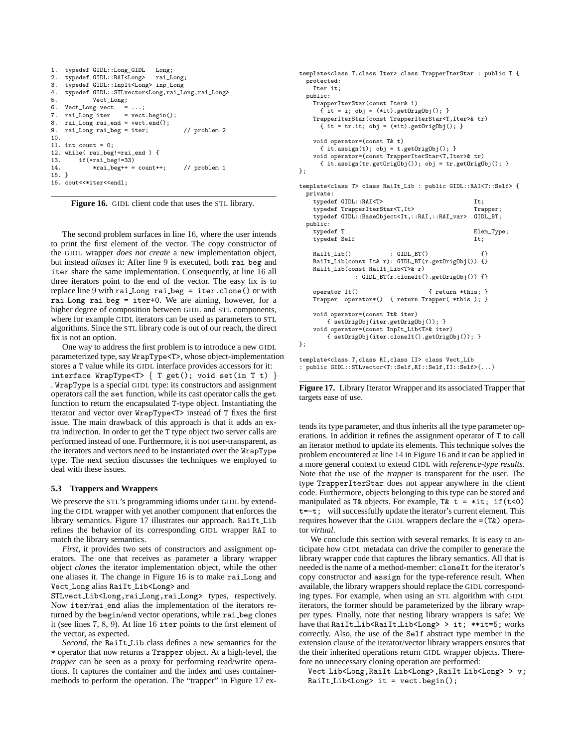```
1. typedef GIDL::Long_GIDL Long;<br>2. typedef GIDL::RAI<Long> rail
2. typedef GIDL::RAI<Long> rai_Long;<br>3. typedef GIDL::InpIt<Long> inp Long
     3. typedef GIDL::InpIt<Long> inp_Long
4. typedef GIDL::STLvector<Long,rai_Long,rai_Long>
               5. Vect_Long;
6. Vect_Long vect = ...;<br>7. rai_Long iter = vect
7. rai_Long iter = vect.begin();<br>8. rai Long rai end = vect.end();
    rai\_Long\ rai\_end = vect.end();9. rai_Long rai_beg = iter; // problem 2
10.
11. int count = 0:
12. while(rai_beg!=rai_end) {<br>13. if(*rai_beg!=33)if(*rai beg!=33)
14. *rai\_beg++ = count++; // problem 1
15. }
16. cout<<*iter<<endl;
```
**Figure 16.** GIDL client code that uses the STL library.

The second problem surfaces in line 16, where the user intends to print the first element of the vector. The copy constructor of the GIDL wrapper *does not create* a new implementation object, but instead *aliases* it: After line 9 is executed, both rai beg and iter share the same implementation. Consequently, at line 16 all three iterators point to the end of the vector. The easy fix is to replace line 9 with rai Long rai beg = iter.clone() or with rai Long rai beg = iter+0. We are aiming, however, for a higher degree of composition between GIDL and STL components, where for example GIDL iterators can be used as parameters to STL algorithms. Since the STL library code is out of our reach, the direct fix is not an option.

One way to address the first problem is to introduce a new GIDL parameterized type, say WrapType<T>, whose object-implementation stores a T value while its GIDL interface provides accessors for it: interface WrapType<T>  $\{ T get(); void set(in T t) \}$ . WrapType is a special GIDL type: its constructors and assignment operators call the set function, while its cast operator calls the get function to return the encapsulated T-type object. Instantiating the iterator and vector over WrapType<T> instead of T fixes the first issue. The main drawback of this approach is that it adds an extra indirection. In order to get the T type object two server calls are performed instead of one. Furthermore, it is not user-transparent, as the iterators and vectors need to be instantiated over the WrapType type. The next section discusses the techniques we employed to deal with these issues.

# **5.3 Trappers and Wrappers**

We preserve the STL's programming idioms under GIDL by extending the GIDL wrapper with yet another component that enforces the library semantics. Figure 17 illustrates our approach. RaiIt Lib refines the behavior of its corresponding GIDL wrapper RAI to match the library semantics.

*First*, it provides two sets of constructors and assignment operators. The one that receives as parameter a library wrapper object *clones* the iterator implementation object, while the other one aliases it. The change in Figure 16 is to make rai Long and Vect Long alias RaiIt Lib<Long> and

STLvect Lib<Long,rai Long,rai Long> types, respectively. Now iter/rai end alias the implementation of the iterators returned by the begin/end vector operations, while rai beg clones it (see lines 7, 8, 9). At line 16 iter points to the first element of the vector, as expected.

*Second*, the RaiIt Lib class defines a new semantics for the \* operator that now returns a Trapper object. At a high-level, the *trapper* can be seen as a proxy for performing read/write operations. It captures the container and the index and uses containermethods to perform the operation. The "trapper" in Figure 17 ex-

```
template<class T,class Iter> class TrapperIterStar : public T {
  protected:
   Iter it;
  public:
    TrapperIterStar(const Iter& i)
      { it = i; obj = (*it).getOrigObj(); }
    TrapperIterStar(const TrapperIterStar<T,Iter>& tr)
      { it = tr.it; obj = (*it).getOrigObj(); }
    void operator=(const T& t)
      { it.assign(t); obj = t.getOrigObj(); }
    void operator=(const TrapperIterStar<T,Iter>& tr)
      { it.assign(tr.getOrigObj()); obj = tr.getOrigObj(); }
};
template<class T> class RaiIt_Lib : public GIDL::RAI<T::Self> {
  private:
    typedef GIDL::RAI<T>
It:
    typedef TrapperIterStar<T, It> Trapper;<br>typedef GIDL::BaseObject<It,::RAI,::RAI_var> GIDL_BT;
    typedef GIDL::BaseObject<It,::RAI,::RAI_var>
  public:<br>typedef T
                                                  Elem_Type;<br>It;
    typedef Self
    RaiIt_Lib() : GIDL_BT() {}
    RaiIt_Lib(const It& r): GIDL_BT(r.getOrigObj()) {}
    RaiIt_Lib(const RaiIt_Lib<T>& r)
                : GIDL_BT(r.cloneIt().getOrigObj()) {}
    operator It() { return *this; }
    Trapper operator*() { return Trapper( *this ); }
    void operator=(const It& iter)
        { setOrigObj(iter.getOrigObj()); }
    void operator=(const InpIt_Lib<T>& iter)
        { setOrigObj(iter.cloneIt().getOrigObj()); }
\ddot{\ }:
template<class T,class RI,class II> class Vect_Lib
: public GIDL::STLvector<T::Self,RI::Self,II::Self>{...}
```
**Figure 17.** Library Iterator Wrapper and its associated Trapper that targets ease of use.

tends its type parameter, and thus inherits all the type parameter operations. In addition it refines the assignment operator of T to call an iterator method to update its elements. This technique solves the problem encountered at line 14 in Figure 16 and it can be applied in a more general context to extend GIDL with *reference-type results*. Note that the use of the *trapper* is transparent for the user. The type TrapperIterStar does not appear anywhere in the client code. Furthermore, objects belonging to this type can be stored and manipulated as T& objects. For example, T&  $t = *it$ ; if( $t < 0$ ) t=-t; will successfully update the iterator's current element. This requires however that the GIDL wrappers declare the =(T&) operator *virtual*.

We conclude this section with several remarks. It is easy to anticipate how GIDL metadata can drive the compiler to generate the library wrapper code that captures the library semantics. All that is needed is the name of a method-member: cloneIt for the iterator's copy constructor and assign for the type-reference result. When available, the library wrappers should replace the GIDL corresponding types. For example, when using an STL algorithm with GIDL iterators, the former should be parameterized by the library wrapper types. Finally, note that nesting library wrappers is safe: We have that RaiIt Lib<RaiIt Lib<Long> > it; \*\*it=5; works correctly. Also, the use of the Self abstract type member in the extension clause of the iterator/vector library wrappers ensures that the their inherited operations return GIDL wrapper objects. Therefore no unnecessary cloning operation are performed:

Vect Lib<Long,RaiIt Lib<Long>,RaiIt Lib<Long> > v; RaiIt Lib<Long> it = vect.begin();